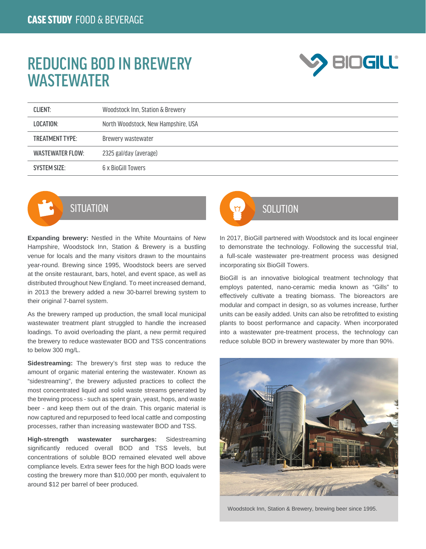## REDUCING BOD IN BREWERY **WASTEWATER**



| <b>CLIENT:</b>         | Woodstock Inn, Station & Brewery    |
|------------------------|-------------------------------------|
| LOCATION:              | North Woodstock, New Hampshire, USA |
| <b>TREATMENT TYPE:</b> | Brewery wastewater                  |
| WASTEWATER FLOW:       | 2325 gal/day (average)              |
| <b>SYSTEM SIZE:</b>    | 6 x BioGill Towers                  |



**Expanding brewery:** Nestled in the White Mountains of New Hampshire, Woodstock Inn, Station & Brewery is a bustling venue for locals and the many visitors drawn to the mountains year-round. Brewing since 1995, Woodstock beers are served at the onsite restaurant, bars, hotel, and event space, as well as distributed throughout New England. To meet increased demand, in 2013 the brewery added a new 30-barrel brewing system to their original 7-barrel system.

As the brewery ramped up production, the small local municipal wastewater treatment plant struggled to handle the increased loadings. To avoid overloading the plant, a new permit required the brewery to reduce wastewater BOD and TSS concentrations to below 300 mg/L.

**Sidestreaming:** The brewery's first step was to reduce the amount of organic material entering the wastewater. Known as "sidestreaming", the brewery adjusted practices to collect the most concentrated liquid and solid waste streams generated by the brewing process - such as spent grain, yeast, hops, and waste beer - and keep them out of the drain. This organic material is now captured and repurposed to feed local cattle and composting processes, rather than increasing wastewater BOD and TSS.

**High-strength wastewater surcharges:** Sidestreaming significantly reduced overall BOD and TSS levels, but concentrations of soluble BOD remained elevated well above compliance levels. Extra sewer fees for the high BOD loads were costing the brewery more than \$10,000 per month, equivalent to around \$12 per barrel of beer produced.



In 2017, BioGill partnered with Woodstock and its local engineer to demonstrate the technology. Following the successful trial, a full-scale wastewater pre-treatment process was designed incorporating six BioGill Towers.

BioGill is an innovative biological treatment technology that employs patented, nano-ceramic media known as "Gills" to effectively cultivate a treating biomass. The bioreactors are modular and compact in design, so as volumes increase, further units can be easily added. Units can also be retrofitted to existing plants to boost performance and capacity. When incorporated into a wastewater pre-treatment process, the technology can reduce soluble BOD in brewery wastewater by more than 90%.



Woodstock Inn, Station & Brewery, brewing beer since 1995.